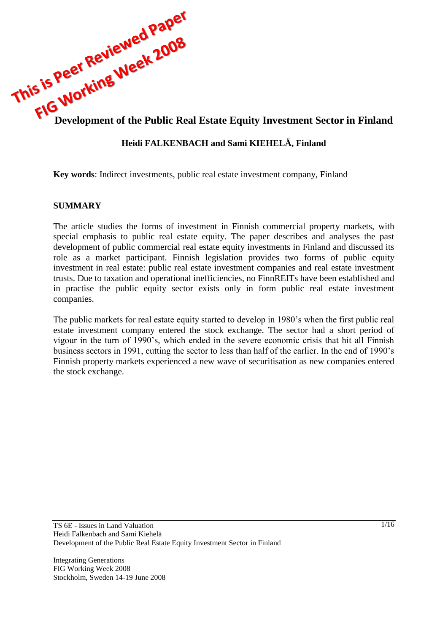

## **Heidi FALKENBACH and Sami KIEHELÄ, Finland**

**Key words**: Indirect investments, public real estate investment company, Finland

### **SUMMARY**

The article studies the forms of investment in Finnish commercial property markets, with special emphasis to public real estate equity. The paper describes and analyses the past development of public commercial real estate equity investments in Finland and discussed its role as a market participant. Finnish legislation provides two forms of public equity investment in real estate: public real estate investment companies and real estate investment trusts. Due to taxation and operational inefficiencies, no FinnREITs have been established and in practise the public equity sector exists only in form public real estate investment companies.

The public markets for real estate equity started to develop in 1980's when the first public real estate investment company entered the stock exchange. The sector had a short period of vigour in the turn of 1990's, which ended in the severe economic crisis that hit all Finnish business sectors in 1991, cutting the sector to less than half of the earlier. In the end of 1990's Finnish property markets experienced a new wave of securitisation as new companies entered the stock exchange.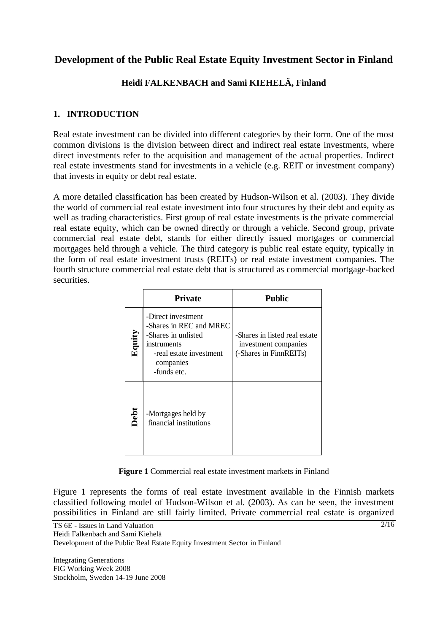# **Development of the Public Real Estate Equity Investment Sector in Finland**

## **Heidi FALKENBACH and Sami KIEHELÄ, Finland**

## **1. INTRODUCTION**

Real estate investment can be divided into different categories by their form. One of the most common divisions is the division between direct and indirect real estate investments, where direct investments refer to the acquisition and management of the actual properties. Indirect real estate investments stand for investments in a vehicle (e.g. REIT or investment company) that invests in equity or debt real estate.

A more detailed classification has been created by Hudson-Wilson et al. (2003). They divide the world of commercial real estate investment into four structures by their debt and equity as well as trading characteristics. First group of real estate investments is the private commercial real estate equity, which can be owned directly or through a vehicle. Second group, private commercial real estate debt, stands for either directly issued mortgages or commercial mortgages held through a vehicle. The third category is public real estate equity, typically in the form of real estate investment trusts (REITs) or real estate investment companies. The fourth structure commercial real estate debt that is structured as commercial mortgage-backed securities.

|        | <b>Private</b>                                                                                                                             | <b>Public</b>                                                                   |
|--------|--------------------------------------------------------------------------------------------------------------------------------------------|---------------------------------------------------------------------------------|
| Equity | -Direct investment<br>-Shares in REC and MREC<br>-Shares in unlisted<br>instruments<br>-real estate investment<br>companies<br>-funds etc. | -Shares in listed real estate<br>investment companies<br>(-Shares in FinnREITs) |
| Debt   | -Mortgages held by<br>financial institutions                                                                                               |                                                                                 |

**Figure 1** Commercial real estate investment markets in Finland

Figure 1 represents the forms of real estate investment available in the Finnish markets classified following model of Hudson-Wilson et al. (2003). As can be seen, the investment possibilities in Finland are still fairly limited. Private commercial real estate is organized

TS 6E - Issues in Land Valuation

Heidi Falkenbach and Sami Kiehelä

Development of the Public Real Estate Equity Investment Sector in Finland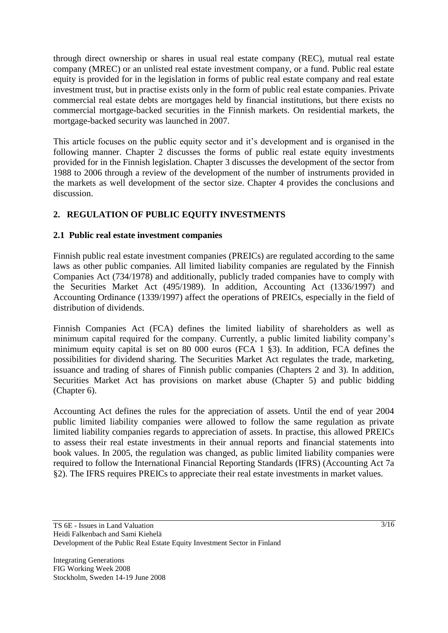through direct ownership or shares in usual real estate company (REC), mutual real estate company (MREC) or an unlisted real estate investment company, or a fund. Public real estate equity is provided for in the legislation in forms of public real estate company and real estate investment trust, but in practise exists only in the form of public real estate companies. Private commercial real estate debts are mortgages held by financial institutions, but there exists no commercial mortgage-backed securities in the Finnish markets. On residential markets, the mortgage-backed security was launched in 2007.

This article focuses on the public equity sector and it's development and is organised in the following manner. Chapter 2 discusses the forms of public real estate equity investments provided for in the Finnish legislation. Chapter 3 discusses the development of the sector from 1988 to 2006 through a review of the development of the number of instruments provided in the markets as well development of the sector size. Chapter 4 provides the conclusions and discussion.

## **2. REGULATION OF PUBLIC EQUITY INVESTMENTS**

## **2.1 Public real estate investment companies**

Finnish public real estate investment companies (PREICs) are regulated according to the same laws as other public companies. All limited liability companies are regulated by the Finnish Companies Act (734/1978) and additionally, publicly traded companies have to comply with the Securities Market Act (495/1989). In addition, Accounting Act (1336/1997) and Accounting Ordinance (1339/1997) affect the operations of PREICs, especially in the field of distribution of dividends.

Finnish Companies Act (FCA) defines the limited liability of shareholders as well as minimum capital required for the company. Currently, a public limited liability company's minimum equity capital is set on 80 000 euros (FCA 1 §3). In addition, FCA defines the possibilities for dividend sharing. The Securities Market Act regulates the trade, marketing, issuance and trading of shares of Finnish public companies (Chapters 2 and 3). In addition, Securities Market Act has provisions on market abuse (Chapter 5) and public bidding (Chapter 6).

Accounting Act defines the rules for the appreciation of assets. Until the end of year 2004 public limited liability companies were allowed to follow the same regulation as private limited liability companies regards to appreciation of assets. In practise, this allowed PREICs to assess their real estate investments in their annual reports and financial statements into book values. In 2005, the regulation was changed, as public limited liability companies were required to follow the International Financial Reporting Standards (IFRS) (Accounting Act 7a §2). The IFRS requires PREICs to appreciate their real estate investments in market values.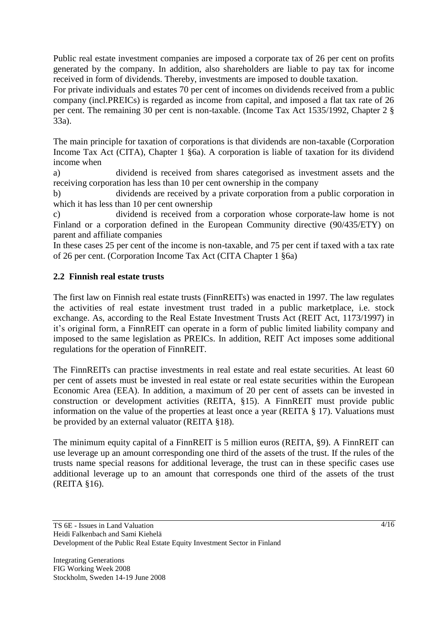Public real estate investment companies are imposed a corporate tax of 26 per cent on profits generated by the company. In addition, also shareholders are liable to pay tax for income received in form of dividends. Thereby, investments are imposed to double taxation.

For private individuals and estates 70 per cent of incomes on dividends received from a public company (incl.PREICs) is regarded as income from capital, and imposed a flat tax rate of 26 per cent. The remaining 30 per cent is non-taxable. (Income Tax Act 1535/1992, Chapter 2 § 33a).

The main principle for taxation of corporations is that dividends are non-taxable (Corporation Income Tax Act (CITA), Chapter 1 §6a). A corporation is liable of taxation for its dividend income when

a) dividend is received from shares categorised as investment assets and the receiving corporation has less than 10 per cent ownership in the company

b) dividends are received by a private corporation from a public corporation in which it has less than 10 per cent ownership

c) dividend is received from a corporation whose corporate-law home is not Finland or a corporation defined in the European Community directive (90/435/ETY) on parent and affiliate companies

In these cases 25 per cent of the income is non-taxable, and 75 per cent if taxed with a tax rate of 26 per cent. (Corporation Income Tax Act (CITA Chapter 1 §6a)

### **2.2 Finnish real estate trusts**

The first law on Finnish real estate trusts (FinnREITs) was enacted in 1997. The law regulates the activities of real estate investment trust traded in a public marketplace, i.e. stock exchange. As, according to the Real Estate Investment Trusts Act (REIT Act, 1173/1997) in it's original form, a FinnREIT can operate in a form of public limited liability company and imposed to the same legislation as PREICs. In addition, REIT Act imposes some additional regulations for the operation of FinnREIT.

The FinnREITs can practise investments in real estate and real estate securities. At least 60 per cent of assets must be invested in real estate or real estate securities within the European Economic Area (EEA). In addition, a maximum of 20 per cent of assets can be invested in construction or development activities (REITA, §15). A FinnREIT must provide public information on the value of the properties at least once a year (REITA § 17). Valuations must be provided by an external valuator (REITA §18).

The minimum equity capital of a FinnREIT is 5 million euros (REITA, §9). A FinnREIT can use leverage up an amount corresponding one third of the assets of the trust. If the rules of the trusts name special reasons for additional leverage, the trust can in these specific cases use additional leverage up to an amount that corresponds one third of the assets of the trust (REITA §16).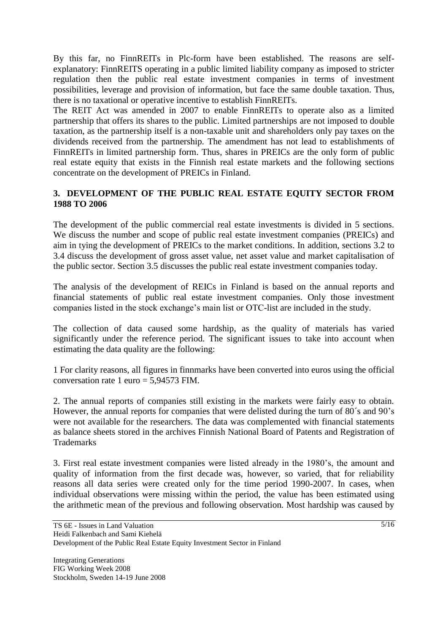By this far, no FinnREITs in Plc-form have been established. The reasons are selfexplanatory: FinnREITS operating in a public limited liability company as imposed to stricter regulation then the public real estate investment companies in terms of investment possibilities, leverage and provision of information, but face the same double taxation. Thus, there is no taxational or operative incentive to establish FinnREITs.

The REIT Act was amended in 2007 to enable FinnREITs to operate also as a limited partnership that offers its shares to the public. Limited partnerships are not imposed to double taxation, as the partnership itself is a non-taxable unit and shareholders only pay taxes on the dividends received from the partnership. The amendment has not lead to establishments of FinnREITs in limited partnership form. Thus, shares in PREICs are the only form of public real estate equity that exists in the Finnish real estate markets and the following sections concentrate on the development of PREICs in Finland.

## **3. DEVELOPMENT OF THE PUBLIC REAL ESTATE EQUITY SECTOR FROM 1988 TO 2006**

The development of the public commercial real estate investments is divided in 5 sections. We discuss the number and scope of public real estate investment companies (PREICs) and aim in tying the development of PREICs to the market conditions. In addition, sections 3.2 to 3.4 discuss the development of gross asset value, net asset value and market capitalisation of the public sector. Section 3.5 discusses the public real estate investment companies today.

The analysis of the development of REICs in Finland is based on the annual reports and financial statements of public real estate investment companies. Only those investment companies listed in the stock exchange's main list or OTC-list are included in the study.

The collection of data caused some hardship, as the quality of materials has varied significantly under the reference period. The significant issues to take into account when estimating the data quality are the following:

1 For clarity reasons, all figures in finnmarks have been converted into euros using the official conversation rate 1 euro = 5,94573 FIM.

2. The annual reports of companies still existing in the markets were fairly easy to obtain. However, the annual reports for companies that were delisted during the turn of 80´s and 90's were not available for the researchers. The data was complemented with financial statements as balance sheets stored in the archives Finnish National Board of Patents and Registration of **Trademarks** 

3. First real estate investment companies were listed already in the 1980's, the amount and quality of information from the first decade was, however, so varied, that for reliability reasons all data series were created only for the time period 1990-2007. In cases, when individual observations were missing within the period, the value has been estimated using the arithmetic mean of the previous and following observation. Most hardship was caused by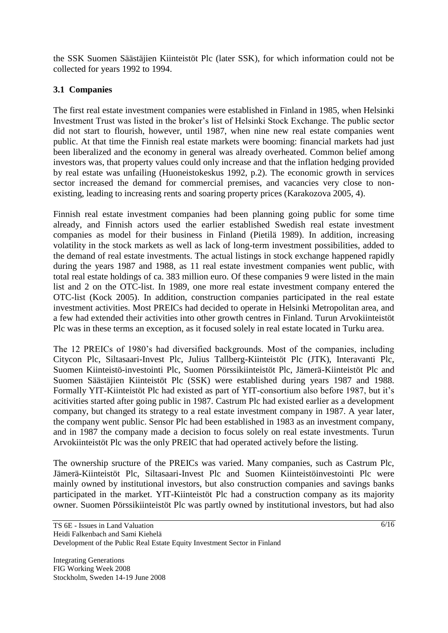the SSK Suomen Säästäjien Kiinteistöt Plc (later SSK), for which information could not be collected for years 1992 to 1994.

## **3.1 Companies**

The first real estate investment companies were established in Finland in 1985, when Helsinki Investment Trust was listed in the broker's list of Helsinki Stock Exchange. The public sector did not start to flourish, however, until 1987, when nine new real estate companies went public. At that time the Finnish real estate markets were booming: financial markets had just been liberalized and the economy in general was already overheated. Common belief among investors was, that property values could only increase and that the inflation hedging provided by real estate was unfailing (Huoneistokeskus 1992, p.2). The economic growth in services sector increased the demand for commercial premises, and vacancies very close to nonexisting, leading to increasing rents and soaring property prices (Karakozova 2005, 4).

Finnish real estate investment companies had been planning going public for some time already, and Finnish actors used the earlier established Swedish real estate investment companies as model for their business in Finland (Pietilä 1989). In addition, increasing volatility in the stock markets as well as lack of long-term investment possibilities, added to the demand of real estate investments. The actual listings in stock exchange happened rapidly during the years 1987 and 1988, as 11 real estate investment companies went public, with total real estate holdings of ca. 383 million euro. Of these companies 9 were listed in the main list and 2 on the OTC-list. In 1989, one more real estate investment company entered the OTC-list (Kock 2005). In addition, construction companies participated in the real estate investment activities. Most PREICs had decided to operate in Helsinki Metropolitan area, and a few had extended their activities into other growth centres in Finland. Turun Arvokiinteistöt Plc was in these terms an exception, as it focused solely in real estate located in Turku area.

The 12 PREICs of 1980's had diversified backgrounds. Most of the companies, including Citycon Plc, Siltasaari-Invest Plc, Julius Tallberg-Kiinteistöt Plc (JTK), Interavanti Plc, Suomen Kiinteistö-investointi Plc, Suomen Pörssikiinteistöt Plc, Jämerä-Kiinteistöt Plc and Suomen Säästäjien Kiinteistöt Plc (SSK) were established during years 1987 and 1988. Formally YIT-Kiinteistöt Plc had existed as part of YIT-consortium also before 1987, but it's acitivities started after going public in 1987. Castrum Plc had existed earlier as a development company, but changed its strategy to a real estate investment company in 1987. A year later, the company went public. Sensor Plc had been established in 1983 as an investment company, and in 1987 the company made a decision to focus solely on real estate investments. Turun Arvokiinteistöt Plc was the only PREIC that had operated actively before the listing.

The ownership sructure of the PREICs was varied. Many companies, such as Castrum Plc, Jämerä-Kiinteistöt Plc, Siltasaari-Invest Plc and Suomen Kiinteistöinvestointi Plc were mainly owned by institutional investors, but also construction companies and savings banks participated in the market. YIT-Kiinteistöt Plc had a construction company as its majority owner. Suomen Pörssikiinteistöt Plc was partly owned by institutional investors, but had also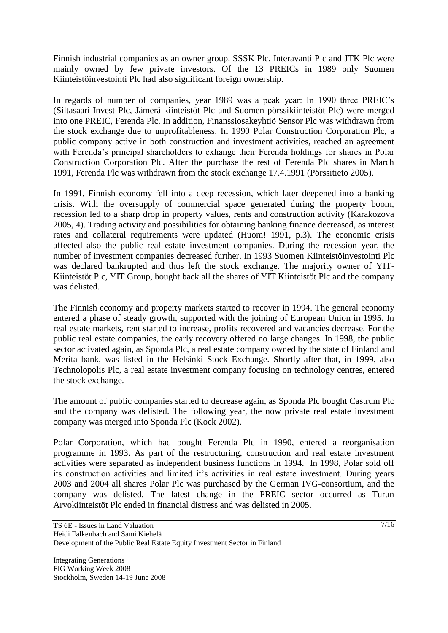Finnish industrial companies as an owner group. SSSK Plc, Interavanti Plc and JTK Plc were mainly owned by few private investors. Of the 13 PREICs in 1989 only Suomen Kiinteistöinvestointi Plc had also significant foreign ownership.

In regards of number of companies, year 1989 was a peak year: In 1990 three PREIC's (Siltasaari-Invest Plc, Jämerä-kiinteistöt Plc and Suomen pörssikiinteistöt Plc) were merged into one PREIC, Ferenda Plc. In addition, Finanssiosakeyhtiö Sensor Plc was withdrawn from the stock exchange due to unprofitableness. In 1990 Polar Construction Corporation Plc, a public company active in both construction and investment activities, reached an agreement with Ferenda's principal shareholders to exhange their Ferenda holdings for shares in Polar Construction Corporation Plc. After the purchase the rest of Ferenda Plc shares in March 1991, Ferenda Plc was withdrawn from the stock exchange 17.4.1991 (Pörssitieto 2005).

In 1991, Finnish economy fell into a deep recession, which later deepened into a banking crisis. With the oversupply of commercial space generated during the property boom, recession led to a sharp drop in property values, rents and construction activity (Karakozova 2005, 4). Trading activity and possibilities for obtaining banking finance decreased, as interest rates and collateral requirements were updated (Huom! 1991, p.3). The economic crisis affected also the public real estate investment companies. During the recession year, the number of investment companies decreased further. In 1993 Suomen Kiinteistöinvestointi Plc was declared bankrupted and thus left the stock exchange. The majority owner of YIT-Kiinteistöt Plc, YIT Group, bought back all the shares of YIT Kiinteistöt Plc and the company was delisted.

The Finnish economy and property markets started to recover in 1994. The general economy entered a phase of steady growth, supported with the joining of European Union in 1995. In real estate markets, rent started to increase, profits recovered and vacancies decrease. For the public real estate companies, the early recovery offered no large changes. In 1998, the public sector activated again, as Sponda Plc, a real estate company owned by the state of Finland and Merita bank, was listed in the Helsinki Stock Exchange. Shortly after that, in 1999, also Technolopolis Plc, a real estate investment company focusing on technology centres, entered the stock exchange.

The amount of public companies started to decrease again, as Sponda Plc bought Castrum Plc and the company was delisted. The following year, the now private real estate investment company was merged into Sponda Plc (Kock 2002).

Polar Corporation, which had bought Ferenda Plc in 1990, entered a reorganisation programme in 1993. As part of the restructuring, construction and real estate investment activities were separated as independent business functions in 1994. In 1998, Polar sold off its construction activities and limited it's activities in real estate investment. During years 2003 and 2004 all shares Polar Plc was purchased by the German IVG-consortium, and the company was delisted. The latest change in the PREIC sector occurred as Turun Arvokiinteistöt Plc ended in financial distress and was delisted in 2005.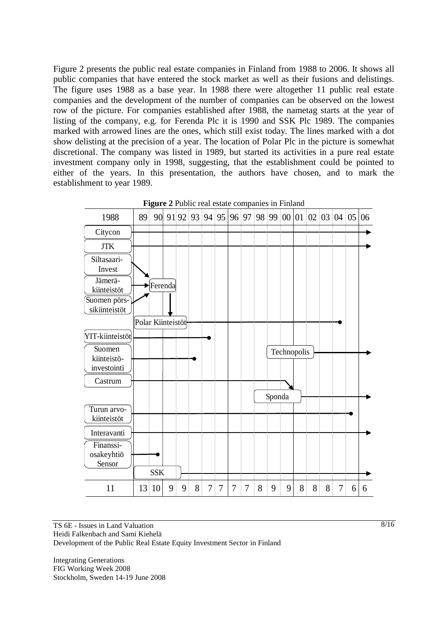Figure 2 presents the public real estate companies in Finland from 1988 to 2006. It shows all public companies that have entered the stock market as well as their fusions and delistings. The figure uses 1988 as a base year. In 1988 there were altogether 11 public real estate companies and the development of the number of companies can be observed on the lowest row of the picture. For companies established after 1988, the nametag starts at the year of listing of the company, e.g. for Ferenda Plc it is 1990 and SSK Plc 1989. The companies marked with arrowed lines are the ones, which still exist today. The lines marked with a dot show delisting at the precision of a year. The location of Polar Plc in the picture is somewhat discretional. The company was listed in 1989, but started its activities in a pure real estate investment company only in 1998, suggesting, that the establishment could be pointed to either of the years. In this presentation, the authors have chosen, and to mark the establishment to year 1989.



**Figure 2** Public real estate companies in Finland

TS 6E - Issues in Land Valuation Heidi Falkenbach and Sami Kiehelä Development of the Public Real Estate Equity Investment Sector in Finland

Integrating Generations FIG Working Week 2008 Stockholm, Sweden 14-19 June 2008 8/16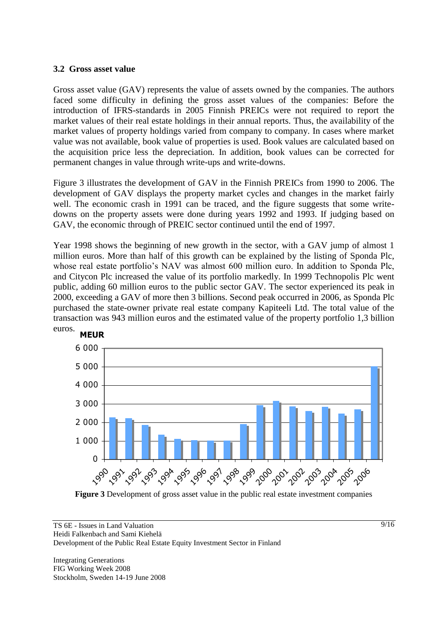### **3.2 Gross asset value**

Gross asset value (GAV) represents the value of assets owned by the companies. The authors faced some difficulty in defining the gross asset values of the companies: Before the introduction of IFRS-standards in 2005 Finnish PREICs were not required to report the market values of their real estate holdings in their annual reports. Thus, the availability of the market values of property holdings varied from company to company. In cases where market value was not available, book value of properties is used. Book values are calculated based on the acquisition price less the depreciation. In addition, book values can be corrected for permanent changes in value through write-ups and write-downs.

Figure 3 illustrates the development of GAV in the Finnish PREICs from 1990 to 2006. The development of GAV displays the property market cycles and changes in the market fairly well. The economic crash in 1991 can be traced, and the figure suggests that some writedowns on the property assets were done during years 1992 and 1993. If judging based on GAV, the economic through of PREIC sector continued until the end of 1997.

purchased the state-owner private real estate company Kapiteeli Ltd. The total value of the transportion and  $\Omega$  william property and the estimated realized the property particle 1.2 hilliam Year 1998 shows the beginning of new growth in the sector, with a GAV jump of almost 1 million euros. More than half of this growth can be explained by the listing of Sponda Plc, whose real estate portfolio's NAV was almost 600 million euro. In addition to Sponda Plc, and Citycon Plc increased the value of its portfolio markedly. In 1999 Technopolis Plc went public, adding 60 million euros to the public sector GAV. The sector experienced its peak in 2000, exceeding a GAV of more then 3 billions. Second peak occurred in 2006, as Sponda Plc transaction was 943 million euros and the estimated value of the property portfolio 1,3 billion euros.



**Figure 3** Development of gross asset value in the public real estate investment companies

#### TS 6E - Issues in Land Valuation Heidi Falkenbach and Sami Kiehelä Development of the Public Real Estate Equity Investment Sector in Finland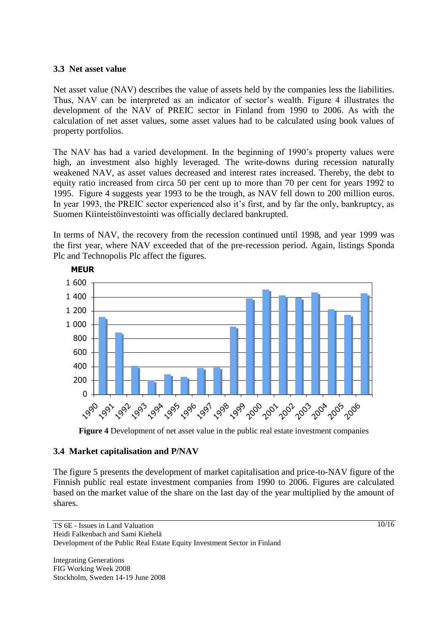### **3.3 Net asset value**

Net asset value (NAV) describes the value of assets held by the companies less the liabilities. Thus, NAV can be interpreted as an indicator of sector's wealth. Figure 4 illustrates the development of the NAV of PREIC sector in Finland from 1990 to 2006. As with the calculation of net asset values, some asset values had to be calculated using book values of property portfolios.

The NAV has had a varied development. In the beginning of 1990's property values were high, an investment also highly leveraged. The write-downs during recession naturally weakened NAV, as asset values decreased and interest rates increased. Thereby, the debt to equity ratio increased from circa 50 per cent up to more than 70 per cent for years 1992 to 1995. Figure 4 suggests year 1993 to be the trough, as NAV fell down to 200 million euros. In year 1993, the PREIC sector experienced also it's first, and by far the only, bankruptcy, as Suomen Kiinteistöinvestointi was officially declared bankrupted.

Plc and Technopolis Plc affect the figures. In terms of NAV, the recovery from the recession continued until 1998, and year 1999 was the first year, where NAV exceeded that of the pre-recession period. Again, listings Sponda



**Figure 4** Development of net asset value in the public real estate investment companies

### **3.4 Market capitalisation and P/NAV**

The figure 5 presents the development of market capitalisation and price-to-NAV figure of the Finnish public real estate investment companies from 1990 to 2006. Figures are calculated based on the market value of the share on the last day of the year multiplied by the amount of shares.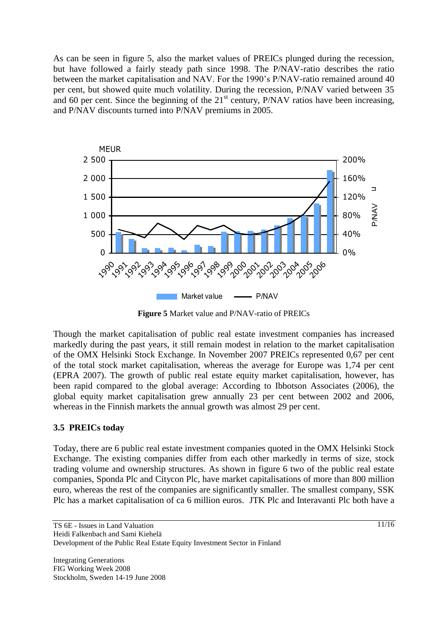As can be seen in figure 5, also the market values of PREICs plunged during the recession, but have followed a fairly steady path since 1998. The P/NAV-ratio describes the ratio between the market capitalisation and NAV. For the 1990's P/NAV-ratio remained around 40 per cent, but showed quite much volatility. During the recession, P/NAV varied between 35 and 60 per cent. Since the beginning of the  $21<sup>st</sup>$  century, P/NAV ratios have been increasing, and P/NAV discounts turned into P/NAV premiums in 2005.



**Figure 5** Market value and P/NAV-ratio of PREICs

Though the market capitalisation of public real estate investment companies has increased markedly during the past years, it still remain modest in relation to the market capitalisation of the OMX Helsinki Stock Exchange. In November 2007 PREICs represented 0,67 per cent of the total stock market capitalisation, whereas the average for Europe was 1,74 per cent (EPRA 2007). The growth of public real estate equity market capitalisation, however, has been rapid compared to the global average: According to Ibbotson Associates (2006), the global equity market capitalisation grew annually 23 per cent between 2002 and 2006, whereas in the Finnish markets the annual growth was almost 29 per cent.

### **3.5 PREICs today**

Today, there are 6 public real estate investment companies quoted in the OMX Helsinki Stock Exchange. The existing companies differ from each other markedly in terms of size, stock trading volume and ownership structures. As shown in figure 6 two of the public real estate companies, Sponda Plc and Citycon Plc, have market capitalisations of more than 800 million euro, whereas the rest of the companies are significantly smaller. The smallest company, SSK Plc has a market capitalisation of ca 6 million euros. JTK Plc and Interavanti Plc both have a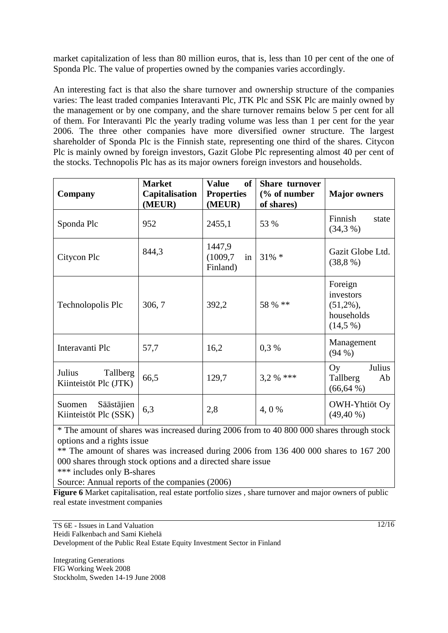market capitalization of less than 80 million euros, that is, less than 10 per cent of the one of Sponda Plc. The value of properties owned by the companies varies accordingly.

An interesting fact is that also the share turnover and ownership structure of the companies varies: The least traded companies Interavanti Plc, JTK Plc and SSK Plc are mainly owned by the management or by one company, and the share turnover remains below 5 per cent for all of them. For Interavanti Plc the yearly trading volume was less than 1 per cent for the year 2006. The three other companies have more diversified owner structure. The largest shareholder of Sponda Plc is the Finnish state, representing one third of the shares. Citycon Plc is mainly owned by foreign investors, Gazit Globe Plc representing almost 40 per cent of the stocks. Technopolis Plc has as its major owners foreign investors and households.

| Company                                       | <b>Market</b><br>Capitalisation<br>(MEUR) | <b>Value</b><br>of<br><b>Properties</b><br>(MEUR) | <b>Share turnover</b><br>(% of number<br>of shares) | <b>Major</b> owners                                              |
|-----------------------------------------------|-------------------------------------------|---------------------------------------------------|-----------------------------------------------------|------------------------------------------------------------------|
| Sponda Plc                                    | 952                                       | 2455,1                                            | 53 %                                                | Finnish<br>state<br>(34,3%                                       |
| Citycon Plc                                   | 844,3                                     | 1447,9<br>(1009,7)<br>in<br>Finland)              | $31\% *$                                            | Gazit Globe Ltd.<br>(38,8%)                                      |
| Technolopolis Plc                             | 306, 7                                    | 392,2                                             | 58 % **                                             | Foreign<br>investors<br>$(51,2\%)$ ,<br>households<br>$(14,5\%)$ |
| Interavanti Plc                               | 57,7                                      | 16,2                                              | 0,3%                                                | Management<br>$(94\% )$                                          |
| Tallberg<br>Julius<br>Kiinteistöt Plc (JTK)   | 66,5                                      | 129,7                                             | $3,2%$ ***                                          | Julius<br>Oy<br>Tallberg<br>Ab<br>$(66, 64\%)$                   |
| Säästäjien<br>Suomen<br>Kiinteistöt Plc (SSK) | 6,3                                       | 2,8                                               | 4, 0 %                                              | OWH-Yhtiöt Oy<br>$(49, 40\%)$                                    |

\* The amount of shares was increased during 2006 from to 40 800 000 shares through stock options and a rights issue

\*\* The amount of shares was increased during 2006 from 136 400 000 shares to 167 200 000 shares through stock options and a directed share issue

\*\*\* includes only B-shares

Source: Annual reports of the companies (2006)

**Figure 6** Market capitalisation, real estate portfolio sizes, share turnover and major owners of public real estate investment companies

TS 6E - Issues in Land Valuation

Heidi Falkenbach and Sami Kiehelä

Development of the Public Real Estate Equity Investment Sector in Finland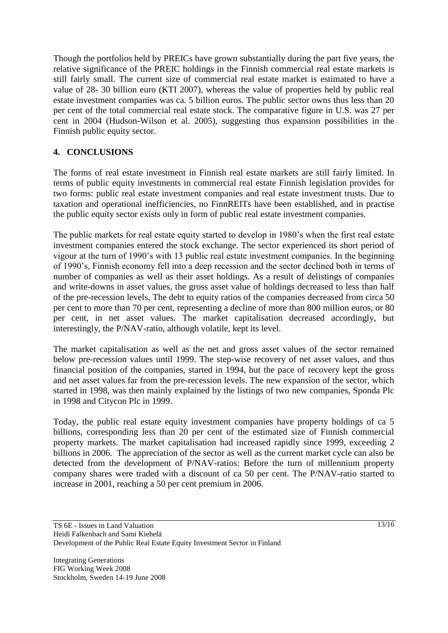Though the portfolios held by PREICs have grown substantially during the part five years, the relative significance of the PREIC holdings in the Finnish commercial real estate markets is still fairly small. The current size of commercial real estate market is estimated to have a value of 28- 30 billion euro (KTI 2007), whereas the value of properties held by public real estate investment companies was ca. 5 billion euros. The public sector owns thus less than 20 per cent of the total commercial real estate stock. The comparative figure in U.S. was 27 per cent in 2004 (Hudson-Wilson et al. 2005), suggesting thus expansion possibilities in the Finnish public equity sector.

## **4. CONCLUSIONS**

The forms of real estate investment in Finnish real estate markets are still fairly limited. In terms of public equity investments in commercial real estate Finnish legislation provides for two forms: public real estate investment companies and real estate investment trusts. Due to taxation and operational inefficiencies, no FinnREITs have been established, and in practise the public equity sector exists only in form of public real estate investment companies.

The public markets for real estate equity started to develop in 1980's when the first real estate investment companies entered the stock exchange. The sector experienced its short period of vigour at the turn of 1990's with 13 public real estate investment companies. In the beginning of 1990's, Finnish economy fell into a deep recession and the sector declined both in terms of number of companies as well as their asset holdings. As a result of delistings of companies and write-downs in asset values, the gross asset value of holdings decreased to less than half of the pre-recession levels, The debt to equity ratios of the companies decreased from circa 50 per cent to more than 70 per cent, representing a decline of more than 800 million euros, or 80 per cent, in net asset values. The market capitalisation decreased accordingly, but interestingly, the P/NAV-ratio, although volatile, kept its level.

The market capitalisation as well as the net and gross asset values of the sector remained below pre-recession values until 1999. The step-wise recovery of net asset values, and thus financial position of the companies, started in 1994, but the pace of recovery kept the gross and net asset values far from the pre-recession levels. The new expansion of the sector, which started in 1998, was then mainly explained by the listings of two new companies, Sponda Plc in 1998 and Citycon Plc in 1999.

Today, the public real estate equity investment companies have property holdings of ca 5 billions, corresponding less than 20 per cent of the estimated size of Finnish commercial property markets. The market capitalisation had increased rapidly since 1999, exceeding 2 billions in 2006. The appreciation of the sector as well as the current market cycle can also be detected from the development of P/NAV-ratios: Before the turn of millennium property company shares were traded with a discount of ca 50 per cent. The P/NAV-ratio started to increase in 2001, reaching a 50 per cent premium in 2006.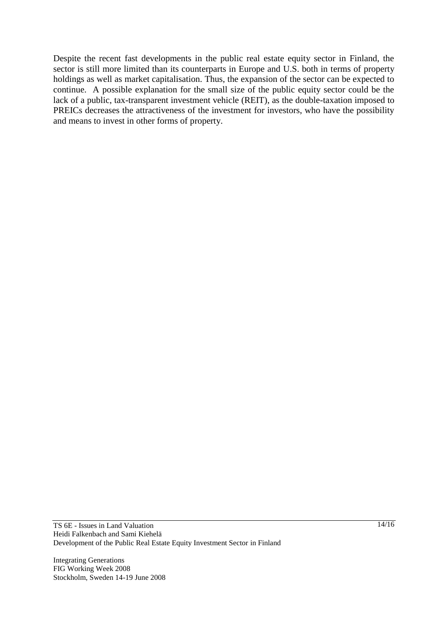Despite the recent fast developments in the public real estate equity sector in Finland, the sector is still more limited than its counterparts in Europe and U.S. both in terms of property holdings as well as market capitalisation. Thus, the expansion of the sector can be expected to continue. A possible explanation for the small size of the public equity sector could be the lack of a public, tax-transparent investment vehicle (REIT), as the double-taxation imposed to PREICs decreases the attractiveness of the investment for investors, who have the possibility and means to invest in other forms of property.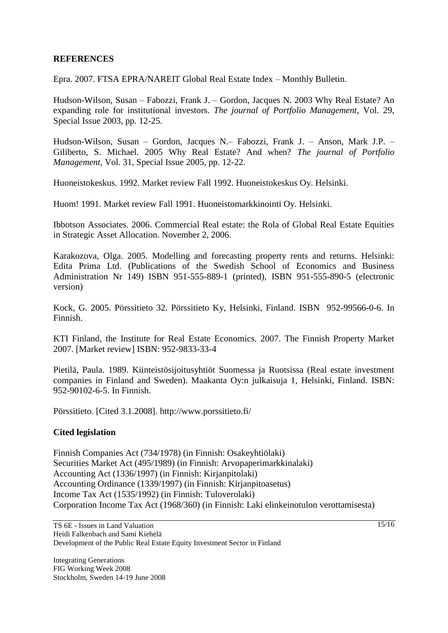### **REFERENCES**

Epra. 2007. FTSA EPRA/NAREIT Global Real Estate Index – Monthly Bulletin.

Hudson-Wilson, Susan – Fabozzi, Frank J. – Gordon, Jacques N. 2003 Why Real Estate? An expanding role for institutional investors. *The journal of Portfolio Management*, Vol. 29, Special Issue 2003, pp. 12-25.

Hudson-Wilson, Susan – Gordon, Jacques N.– Fabozzi, Frank J. – Anson, Mark J.P. – Giliberto, S. Michael. 2005 Why Real Estate? And when? *The journal of Portfolio Management*, Vol. 31, Special Issue 2005, pp. 12-22.

Huoneistokeskus. 1992. Market review Fall 1992. Huoneistokeskus Oy. Helsinki.

Huom! 1991. Market review Fall 1991. Huoneistomarkkinointi Oy. Helsinki.

Ibbotson Associates. 2006. Commercial Real estate: the Rola of Global Real Estate Equities in Strategic Asset Allocation. November 2, 2006.

Karakozova, Olga. 2005. Modelling and forecasting property rents and returns. Helsinki: Edita Prima Ltd. (Publications of the Swedish School of Economics and Business Administration Nr 149) ISBN 951-555-889-1 (printed), ISBN 951-555-890-5 (electronic version)

Kock, G. 2005. Pörssitieto 32. Pörssitieto Ky, Helsinki, Finland. ISBN 952-99566-0-6. In Finnish.

KTI Finland, the Institute for Real Estate Economics. 2007. The Finnish Property Market 2007. [Market review] ISBN: 952-9833-33-4

Pietilä, Paula. 1989. Kiinteistösijoitusyhtiöt Suomessa ja Ruotsissa (Real estate investment companies in Finland and Sweden). Maakanta Oy:n julkaisuja 1, Helsinki, Finland. ISBN: 952-90102-6-5. In Finnish.

Pörssitieto. [Cited 3.1.2008].<http://www.porssitieto.fi/>

### **Cited legislation**

Finnish Companies Act (734/1978) (in Finnish: Osakeyhtiölaki) Securities Market Act (495/1989) (in Finnish: Arvopaperimarkkinalaki) Accounting Act (1336/1997) (in Finnish: Kirjanpitolaki) Accounting Ordinance (1339/1997) (in Finnish: Kirjanpitoasetus) Income Tax Act (1535/1992) (in Finnish: Tuloverolaki) Corporation Income Tax Act (1968/360) (in Finnish: Laki elinkeinotulon verottamisesta)